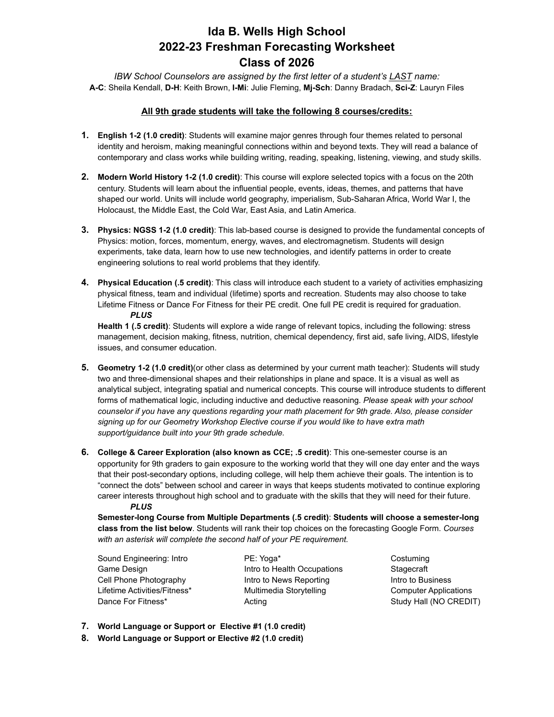# **Ida B. Wells High School 2022-23 Freshman Forecasting Worksheet Class of 2026**

*IBW School Counselors are assigned by the first letter of a student's LAST name:* **A-C**: Sheila Kendall, **D-H**: Keith Brown, **I-Mi**: Julie Fleming, **Mj-Sch**: Danny Bradach, **Sci-Z**: Lauryn Files

#### **All 9th grade students will take the following 8 courses/credits:**

- **1. English 1-2 (1.0 credit)**: Students will examine major genres through four themes related to personal identity and heroism, making meaningful connections within and beyond texts. They will read a balance of contemporary and class works while building writing, reading, speaking, listening, viewing, and study skills.
- **2. Modern World History 1-2 (1.0 credit)**: This course will explore selected topics with a focus on the 20th century. Students will learn about the influential people, events, ideas, themes, and patterns that have shaped our world. Units will include world geography, imperialism, Sub-Saharan Africa, World War I, the Holocaust, the Middle East, the Cold War, East Asia, and Latin America.
- **3. Physics: NGSS 1-2 (1.0 credit)**: This lab-based course is designed to provide the fundamental concepts of Physics: motion, forces, momentum, energy, waves, and electromagnetism. Students will design experiments, take data, learn how to use new technologies, and identify patterns in order to create engineering solutions to real world problems that they identify.
- **4. Physical Education (.5 credit)**: This class will introduce each student to a variety of activities emphasizing physical fitness, team and individual (lifetime) sports and recreation. Students may also choose to take Lifetime Fitness or Dance For Fitness for their PE credit. One full PE credit is required for graduation. *PLUS*

**Health 1 (.5 credit)**: Students will explore a wide range of relevant topics, including the following: stress management, decision making, fitness, nutrition, chemical dependency, first aid, safe living, AIDS, lifestyle issues, and consumer education.

- **5. Geometry 1-2 (1.0 credit)**(or other class as determined by your current math teacher): Students will study two and three-dimensional shapes and their relationships in plane and space. It is a visual as well as analytical subject, integrating spatial and numerical concepts. This course will introduce students to different forms of mathematical logic, including inductive and deductive reasoning. *Please speak with your school counselor if you have any questions regarding your math placement for 9th grade. Also, please consider signing up for our Geometry Workshop Elective course if you would like to have extra math support/guidance built into your 9th grade schedule.*
- **6. College & Career Exploration (also known as CCE; .5 credit)**: This one-semester course is an opportunity for 9th graders to gain exposure to the working world that they will one day enter and the ways that their post-secondary options, including college, will help them achieve their goals. The intention is to "connect the dots" between school and career in ways that keeps students motivated to continue exploring career interests throughout high school and to graduate with the skills that they will need for their future. *PLUS*

**Semester-long Course from Multiple Departments (.5 credit)**: **Students will choose a semester-long class from the list below**. Students will rank their top choices on the forecasting Google Form. *Courses with an asterisk will complete the second half of your PE requirement.*

Sound Engineering: Intro Game Design Cell Phone Photography Lifetime Activities/Fitness\* Dance For Fitness\*

PE: Yoga\* Intro to Health Occupations Intro to News Reporting Multimedia Storytelling Acting

**Costuming Stagecraft** Intro to Business Computer Applications Study Hall (NO CREDIT)

- **7. World Language or Support or Elective #1 (1.0 credit)**
- **8. World Language or Support or Elective #2 (1.0 credit)**